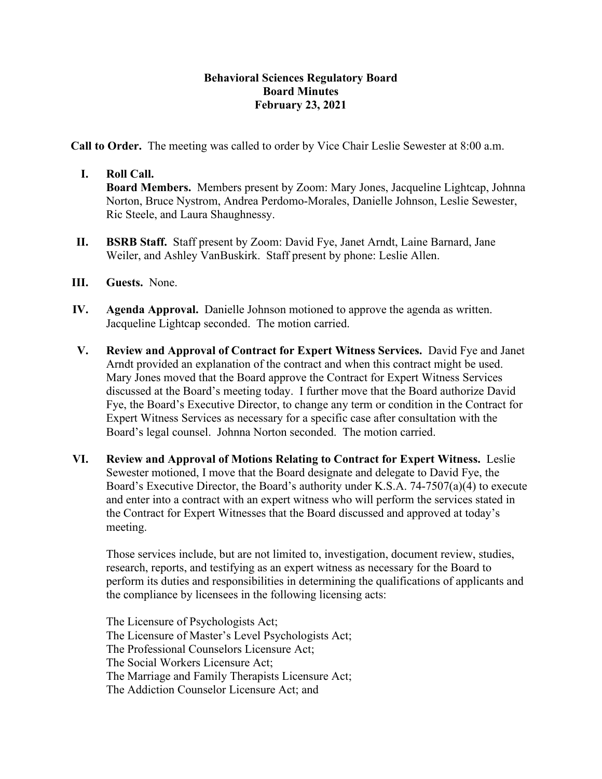## **Behavioral Sciences Regulatory Board Board Minutes February 23, 2021**

**Call to Order.** The meeting was called to order by Vice Chair Leslie Sewester at 8:00 a.m.

## **I. Roll Call.**

**Board Members.** Members present by Zoom: Mary Jones, Jacqueline Lightcap, Johnna Norton, Bruce Nystrom, Andrea Perdomo-Morales, Danielle Johnson, Leslie Sewester, Ric Steele, and Laura Shaughnessy.

- **II. BSRB Staff.** Staff present by Zoom: David Fye, Janet Arndt, Laine Barnard, Jane Weiler, and Ashley VanBuskirk. Staff present by phone: Leslie Allen.
- **III. Guests.** None.
- **IV. Agenda Approval.** Danielle Johnson motioned to approve the agenda as written. Jacqueline Lightcap seconded. The motion carried.
- **V. Review and Approval of Contract for Expert Witness Services.** David Fye and Janet Arndt provided an explanation of the contract and when this contract might be used. Mary Jones moved that the Board approve the Contract for Expert Witness Services discussed at the Board's meeting today. I further move that the Board authorize David Fye, the Board's Executive Director, to change any term or condition in the Contract for Expert Witness Services as necessary for a specific case after consultation with the Board's legal counsel. Johnna Norton seconded. The motion carried.
- **VI. Review and Approval of Motions Relating to Contract for Expert Witness.** Leslie Sewester motioned, I move that the Board designate and delegate to David Fye, the Board's Executive Director, the Board's authority under K.S.A. 74-7507(a)(4) to execute and enter into a contract with an expert witness who will perform the services stated in the Contract for Expert Witnesses that the Board discussed and approved at today's meeting.

Those services include, but are not limited to, investigation, document review, studies, research, reports, and testifying as an expert witness as necessary for the Board to perform its duties and responsibilities in determining the qualifications of applicants and the compliance by licensees in the following licensing acts:

The Licensure of Psychologists Act; The Licensure of Master's Level Psychologists Act; The Professional Counselors Licensure Act; The Social Workers Licensure Act; The Marriage and Family Therapists Licensure Act; The Addiction Counselor Licensure Act; and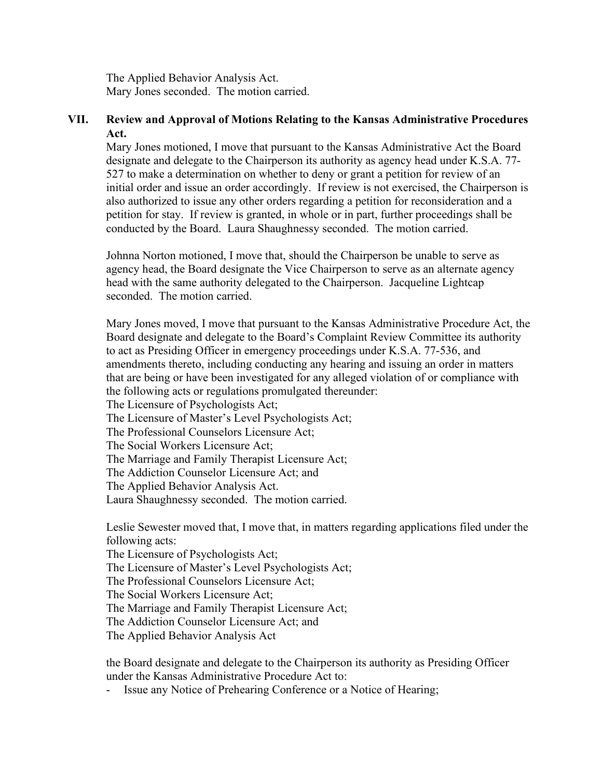The Applied Behavior Analysis Act. Mary Jones seconded. The motion carried.

## **VII. Review and Approval of Motions Relating to the Kansas Administrative Procedures Act.**

Mary Jones motioned, I move that pursuant to the Kansas Administrative Act the Board designate and delegate to the Chairperson its authority as agency head under K.S.A. 77- 527 to make a determination on whether to deny or grant a petition for review of an initial order and issue an order accordingly. If review is not exercised, the Chairperson is also authorized to issue any other orders regarding a petition for reconsideration and a petition for stay. If review is granted, in whole or in part, further proceedings shall be conducted by the Board. Laura Shaughnessy seconded. The motion carried.

Johnna Norton motioned, I move that, should the Chairperson be unable to serve as agency head, the Board designate the Vice Chairperson to serve as an alternate agency head with the same authority delegated to the Chairperson. Jacqueline Lightcap seconded. The motion carried.

Mary Jones moved, I move that pursuant to the Kansas Administrative Procedure Act, the Board designate and delegate to the Board's Complaint Review Committee its authority to act as Presiding Officer in emergency proceedings under K.S.A. 77-536, and amendments thereto, including conducting any hearing and issuing an order in matters that are being or have been investigated for any alleged violation of or compliance with the following acts or regulations promulgated thereunder:

The Licensure of Psychologists Act;

The Licensure of Master's Level Psychologists Act;

The Professional Counselors Licensure Act;

The Social Workers Licensure Act;

The Marriage and Family Therapist Licensure Act;

The Addiction Counselor Licensure Act; and

The Applied Behavior Analysis Act.

Laura Shaughnessy seconded. The motion carried.

Leslie Sewester moved that, I move that, in matters regarding applications filed under the following acts:

The Licensure of Psychologists Act; The Licensure of Master's Level Psychologists Act; The Professional Counselors Licensure Act; The Social Workers Licensure Act; The Marriage and Family Therapist Licensure Act; The Addiction Counselor Licensure Act; and The Applied Behavior Analysis Act

the Board designate and delegate to the Chairperson its authority as Presiding Officer under the Kansas Administrative Procedure Act to:

- Issue any Notice of Prehearing Conference or a Notice of Hearing;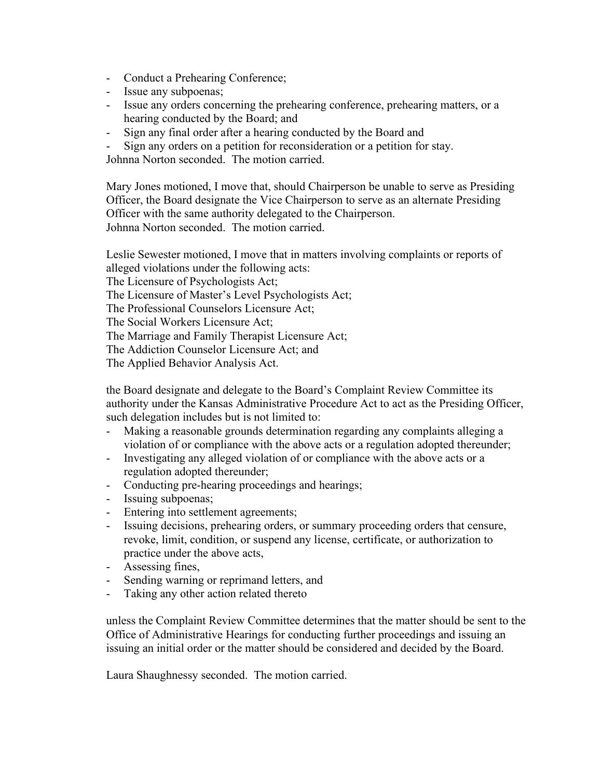- Conduct a Prehearing Conference;
- Issue any subpoenas;
- Issue any orders concerning the prehearing conference, prehearing matters, or a hearing conducted by the Board; and
- Sign any final order after a hearing conducted by the Board and
- Sign any orders on a petition for reconsideration or a petition for stay.

Johnna Norton seconded. The motion carried.

Mary Jones motioned, I move that, should Chairperson be unable to serve as Presiding Officer, the Board designate the Vice Chairperson to serve as an alternate Presiding Officer with the same authority delegated to the Chairperson. Johnna Norton seconded. The motion carried.

Leslie Sewester motioned, I move that in matters involving complaints or reports of alleged violations under the following acts: The Licensure of Psychologists Act; The Licensure of Master's Level Psychologists Act; The Professional Counselors Licensure Act; The Social Workers Licensure Act; The Marriage and Family Therapist Licensure Act; The Addiction Counselor Licensure Act; and The Applied Behavior Analysis Act.

the Board designate and delegate to the Board's Complaint Review Committee its authority under the Kansas Administrative Procedure Act to act as the Presiding Officer, such delegation includes but is not limited to:

- Making a reasonable grounds determination regarding any complaints alleging a violation of or compliance with the above acts or a regulation adopted thereunder;
- Investigating any alleged violation of or compliance with the above acts or a regulation adopted thereunder;
- Conducting pre-hearing proceedings and hearings;
- Issuing subpoenas;
- Entering into settlement agreements;
- Issuing decisions, prehearing orders, or summary proceeding orders that censure, revoke, limit, condition, or suspend any license, certificate, or authorization to practice under the above acts,
- Assessing fines,
- Sending warning or reprimand letters, and
- Taking any other action related thereto

unless the Complaint Review Committee determines that the matter should be sent to the Office of Administrative Hearings for conducting further proceedings and issuing an issuing an initial order or the matter should be considered and decided by the Board.

Laura Shaughnessy seconded. The motion carried.